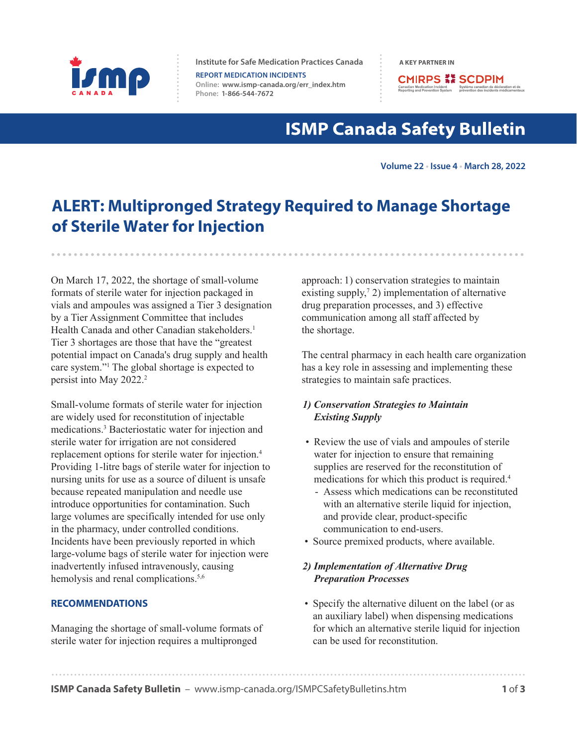

**Institute for Safe Medication Practices Canada A KEY PARTNER IN** 

**REPORT MEDICATION INCIDENTS Online: [www.ismp-canada.org/err\\_index.htm](http://www.ismp-canada.org/err_index.htm)  Phone: 1-866-544-7672**

**CMIRPS ## SCDPIM** lian Medication Incident<br>The Système canadien de déclar<br>ting and Prevention System<br>prévention des incidents mé

# **ISMP Canada Safety Bulletin**

**Volume 22 • Issue 4 • March 28, 2022**

# **ALERT: Multipronged Strategy Required to Manage Shortage of Sterile Water for Injection**

On March 17, 2022, the shortage of small-volume formats of sterile water for injection packaged in vials and ampoules was assigned a Tier 3 designation by a Tier Assignment Committee that includes Health Canada and other Canadian stakeholders.<sup>1</sup> Tier 3 shortages are those that have the "greatest potential impact on Canada's drug supply and health care system."1 The global shortage is expected to persist into May 2022.<sup>2</sup>

Small-volume formats of sterile water for injection are widely used for reconstitution of injectable medications.3 Bacteriostatic water for injection and sterile water for irrigation are not considered replacement options for sterile water for injection.4 Providing 1-litre bags of sterile water for injection to nursing units for use as a source of diluent is unsafe because repeated manipulation and needle use introduce opportunities for contamination. Such large volumes are specifically intended for use only in the pharmacy, under controlled conditions. Incidents have been previously reported in which large-volume bags of sterile water for injection were inadvertently infused intravenously, causing hemolysis and renal complications.<sup>5,6</sup>

#### **RECOMMENDATIONS**

Managing the shortage of small-volume formats of sterile water for injection requires a multipronged

approach: 1) conservation strategies to maintain existing supply,<sup> $7$ </sup> 2) implementation of alternative drug preparation processes, and 3) effective communication among all staff affected by the shortage.

The central pharmacy in each health care organization has a key role in assessing and implementing these strategies to maintain safe practices.

#### *1) Conservation Strategies to Maintain Existing Supply*

- Review the use of vials and ampoules of sterile water for injection to ensure that remaining supplies are reserved for the reconstitution of medications for which this product is required.4
	- Assess which medications can be reconstituted with an alternative sterile liquid for injection, and provide clear, product-specific communication to end-users.
- Source premixed products, where available.

#### *2) Implementation of Alternative Drug Preparation Processes*

• Specify the alternative diluent on the label (or as an auxiliary label) when dispensing medications for which an alternative sterile liquid for injection can be used for reconstitution.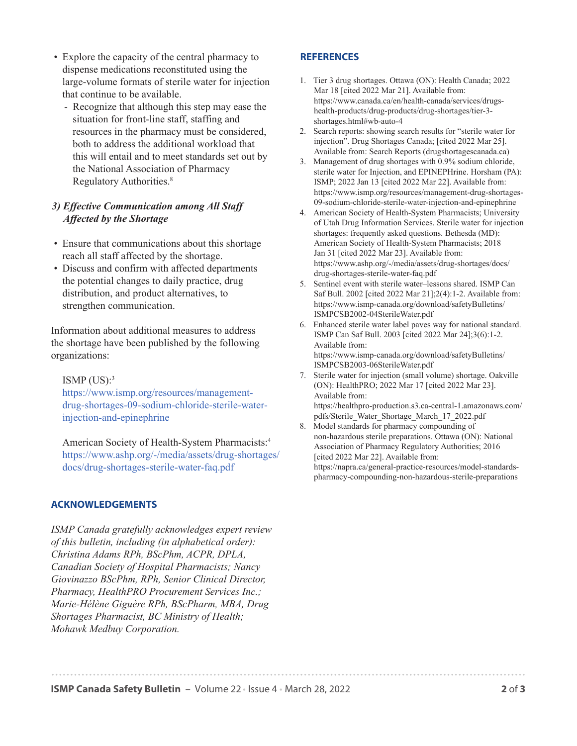- Explore the capacity of the central pharmacy to dispense medications reconstituted using the large-volume formats of sterile water for injection that continue to be available.
	- Recognize that although this step may ease the situation for front-line staff, staffing and resources in the pharmacy must be considered, both to address the additional workload that this will entail and to meet standards set out by the National Association of Pharmacy Regulatory Authorities.8

#### *3) Effective Communication among All Staff Affected by the Shortage*

- Ensure that communications about this shortage reach all staff affected by the shortage.
- Discuss and confirm with affected departments the potential changes to daily practice, drug distribution, and product alternatives, to strengthen communication.

Information about additional measures to address the shortage have been published by the following organizations:

#### ISMP  $(US)^3$

https://www.ismp.org/resources/management[drug-shortages-09-sodium-chloride-sterile-water](https://www.ismp.org/resources/management-drug-shortages-09-sodium-chloride-sterile-water-injection-and-epinephrine)injection-and-epinephrine

American Society of Health-System Pharmacists:4 [https://www.ashp.org/-/media/assets/drug-shortages/](https://www.ashp.org/-/media/assets/drug-shortages/docs/drug-shortages-sterile-water-faq.pdf) docs/drug-shortages-sterile-water-faq.pdf

#### **ACKNOWLEDGEMENTS**

*ISMP Canada gratefully acknowledges expert review of this bulletin, including (in alphabetical order): Christina Adams RPh, BScPhm, ACPR, DPLA, Canadian Society of Hospital Pharmacists; Nancy Giovinazzo BScPhm, RPh, Senior Clinical Director, Pharmacy, HealthPRO Procurement Services Inc.; Marie-Hélène Giguère RPh, BScPharm, MBA, Drug Shortages Pharmacist, BC Ministry of Health; Mohawk Medbuy Corporation.* 

#### **REFERENCES**

- [1. Tier 3 drug shortages. Ottawa \(ON\): Health Canada; 2022](https://www.canada.ca/en/health-canada/services/drugs-health-products/drug-products/drug-shortages/tier-3-shortages.html#wb-auto-4)  Mar 18 [cited 2022 Mar 21]. Available from: https://www.canada.ca/en/health-canada/services/drugshealth-products/drug-products/drug-shortages/tier-3 shortages.html#wb-auto-4
- [2. Search reports: showing search results for "sterile water for](https://www.drugshortagescanada.ca/search?term=sterile+water+for+injection&date_property=&date_range%5Bdate_range_start%5D%5Bmonth%5D=&date_range%5Bdate_range_start%5D%5Bday%5D=&date_range%5Bdate_range_start%5D%5Byear%5D=&date_range%5Bdate_range_end%5D%5Bmonth%5D=&date_range%5Bdate_range_end%5D%5Bday%5D=&date_range%5Bdate_range_end%5D%5Byear%5D=&filter_types%5B%5D=shortages&tier3_status=1&filter_statuses%5B%5D=active_confirmed&_token=c8utNK9f9ippGtN302XekKZ4F732xZYpgd8SjOI5rxE)  injection". Drug Shortages Canada; [cited 2022 Mar 25]. Available from: Search Reports (drugshortagescanada.ca)
- [3. Management of drug shortages with 0.9% sodium chloride,](https://www.ismp.org/resources/management-drug-shortages-09-sodium-chloride-sterile-water-injection-and-epinephrine)  sterile water for Injection, and EPINEPHrine. Horsham (PA): ISMP; 2022 Jan 13 [cited 2022 Mar 22]. Available from: https://www.ismp.org/resources/management-drug-shortages-09-sodium-chloride-sterile-water-injection-and-epinephrine
- [4. American Society of Health-System Pharmacists; University](https://www.ashp.org/-/media/assets/drug-shortages/docs/drug-shortages-sterile-water-faq.pdf)  of Utah Drug Information Services. Sterile water for injection shortages: frequently asked questions. Bethesda (MD): American Society of Health-System Pharmacists; 2018 Jan 31 [cited 2022 Mar 23]. Available from: https://www.ashp.org/-/media/assets/drug-shortages/docs/ drug-shortages-sterile-water-faq.pdf
- [5. Sentinel event with sterile water–lessons shared. ISMP Can](https://www.ismp-canada.org/download/safetyBulletins/ISMPCSB2002-04SterileWater.pdf)  Saf Bull. 2002 [cited 2022 Mar 21];2(4):1-2. Available from: https://www.ismp-canada.org/download/safetyBulletins/ ISMPCSB2002-04SterileWater.pdf
- [6. Enhanced sterile water label paves way for national standard.](https://www.ismp-canada.org/download/safetyBulletins/ISMPCSB2003-06SterileWater.pdf)  ISMP Can Saf Bull. 2003 [cited 2022 Mar 24];3(6):1-2. Available from: https://www.ismp-canada.org/download/safetyBulletins/ ISMPCSB2003-06SterileWater.pdf
- [7. Sterile water for injection \(small volume\) shortage. Oakville](https://healthpro-production.s3.ca-central-1.amazonaws.com/pdfs/Sterile_Water_Shortage_March_17_2022.pdf)  (ON): HealthPRO; 2022 Mar 17 [cited 2022 Mar 23]. Available from: https://healthpro-production.s3.ca-central-1.amazonaws.com/ pdfs/Sterile\_Water\_Shortage\_March\_17\_2022.pdf
- 8. Model standards for pharmacy compounding of non-hazardous sterile preparations. Ottawa (ON): National Association of Pharmacy Regulatory Authorities; 2016 [cited 2022 Mar 22]. Available from: [https://napra.ca/general-practice-resources/model-standards](https://napra.ca/general-practice-resources/model-standards-pharmacy-compounding-non-hazardous-sterile-preparations)pharmacy-compounding-non-hazardous-sterile-preparations